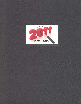

**Company** 

Ξ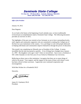Seminole State College

**P.O. Box 351 – 2701 Boren Blvd. – Seminole, Oklahoma 74818-0351 Phone: (405) 382-9200 Fax: (405) 382-7912**

*Office of the President*

January 19, 2012

Dear Regents:

As we look to the future at the beginning of each calendar year, we have traditionally reviewed past accomplishments made at Seminole State College. The following document provides an overview of 2011.

The highlights of the past year remind us how fortunate we are to have outstanding faculty, staff, regents and community supporters who are committed to making this College one of the best two-year institutions in the country. It is a privilege to work with people dedicated to helping individuals and communities improve themselves through the power of education.

This month I am completing my fifteenth year as President of this College. It seems incredible that the time has passed so quickly. A lot of things have changed since January 21, 1997. My daughters were ages 3 and 7 when we moved here. Sara is now a freshmen at SSC while Amanda is in her first year of Law School at Oklahoma City University.

Reflecting on these years at this institution, I recognize that there are so many things of which to be proud. Your support, and the support of the team of those with whom I work, has been critical in these successes. I appreciate your continued cooperation and encouragement.

With Best Wishes for a Wonderful 2012!

Sincerely,

Chi Tetatood

James W. Utterback, Ph.D. President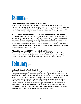

## **College Observes Martin Luther King Day**

Seminole State College students attended a presentation by **Ray Jordan**, in the Jeff Johnston Fine Arts Center, in celebration of Martin Luther King, Jr. Day. Mr. Jordan is a retired educator, football coach and athletic director of over 42 years. The SSC campus was closed Monday, January 17 in observation of Martin Luther King, Jr. Day.

#### **Supporters Attend Regional Higher Education Legislative Briefing**

**Dr. Glen D. Johnson**, Chancellor of the Oklahoma State System of Higher Education, met with 50 area legislators and friends of higher education in McAlester to discuss the importance of higher education in improving the economy and business climate of the state. Seminole community leaders and SSC administrators were among those in attendance at the Southeast Oklahoma Legislative Briefing held at Pete's Place in Krebs. Oklahoma State **Senator Harry Coates** (R-District 28) and **Representative Tom Newell** were special guests of the SSC group.

#### **Alumni Return for 2011 Trojan "Kick-off" Banquet**

The annual Trojan Alumni Banquet was held January 29 in the Enoch Kelly Haney Center, to kick-off the 2011 Trojan Baseball Season. Former Trojan **Joe Jordan**, scouting director for the Baltimore Orioles, was the guest speaker of the event**.** 



## **College Delegation Visits Capitol**

A large delegation of campus and community leaders representing Seminole State College attended "Higher Education Day" at the State Capitol, Tuesday, February 22 to demonstrate grassroots support for Higher Education funding. An afternoon session was held in the chamber of the Oklahoma House of Representatives. Speakers included several students from across the state, as well as Oklahoma State System for Higher Education **Chancellor Dr. Glen Johnson**, Oklahoma Secretary of **Commerce David Lopez**, Oklahoma House of Representatives Speaker **Kris Steele**, Oklahoma Senate President Pro Tempore **Brian Bingman**, Oklahoma Secretary of Education **Phyllis Hudecki** and Council of Presidents Chair **Janet Cunningham**. Higher Education Day activities included office visits with area legislators at the Capitol.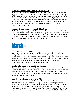## **Whithers Attends Nigh Leadership Conference**

Seminole State College student **Brittain Withers** was one of 30 Oklahoma college and university students selected to attend the Nigh Institute Leadership Conference recently held in Oklahoma City. Ms. Whithers received a 2011 George and Donna Nigh Public Service Scholarship through the Nigh Institute program funded by the Oklahoma Legislature. During the leadership academy, students visited with members of the House of Representatives and the Senate, as well as attended sessions concerning Oklahoma's local government, government relations, the national election, public policy, and Oklahoma's economic future.

#### **Regents Award Tenure to Faculty Members**

At their February meeting, the SSC Regents awarded tenure to several instructors. **Dr. Steve Bolin**, Social Sciences Division; **Annette Troglin**, Math, Science and Engineering Division; **Dave Helseth**, Math, Sciences and Engineering Division; **Rayshell Clapper**, Language Arts and Humanities Division and **Malinda Browning**, Nursing and Health Sciences Division, were approved for this academic status.



## **SSC Hosts Annual Scholastic Meet**

More than 1,400 students from 34 area public schools competed in Seminole State College's 39<sup>th</sup> annual interscholastic meet in early March. Campus organizations and staff organized a number of events and activities for the high school students while they were on campus. A sweepstakes trophy was awarded to the top school in each division based on accumulation of points and medal placing. Byng won the Division I sweepstakes award, and Preston took the Division II award.

#### **Students Recognized at OACC Conference**

Students **Tatum Colburn** and **Joel Penuel** were honored as members of the All-Oklahoma Academic Team at the Oklahoma Association of Community Colleges annual conference in March. Jordan Bumgarner, also from SSC, was selected as an OACC scholarship recipient. The academic honors program provides statewide recognition to outstanding two-year college students.

## **SSC Students Featured in Who's Who**

Names of 89 students from Seminole State College were included in "Who's Who Among Students in American Junior Colleges." Campus nominating committees and editors of the annual national directory included the names of these students based on their academic achievement, service to the community, leadership in extracurricular activities and potential for continued success. They join an elite group of students from more than 1,400 institutions of higher learning in all 50 states, the District of Columbia and several foreign nations.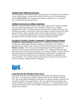## **Students Hear Holocaust Survivor**

Several members of the Seminole State College President's Leadership Class attended the Louise Young Diversity Lecture at East Central University in Ada to hear Holocaust survivor **Max Glauben**. Mr. Glauben spoke about his experiences as a young boy in Nazi concentration camps during WWII.

#### **Students Surveyed on College Experience**

Students in randomly selected classes at SSC joined students from community colleges across the nation in participating in the Community College Survey of Student Engagement (CCSSE). The survey questions focused on how students spend their time, the nature and quality of interactions with faculty members and peers and what they have gained from their classes and other aspects of their college experiences. The survey served as an anonymous suggestion box to benchmark the participating colleges' performance on key indicators related to teaching, learning and retention.

## **President Utterback Attends Community College Regional Summit**

**President Dr. James Utterback** attended the U.S. Department of Education's first Community College Regional Summit in Houston in mid-March. Dr. Utterback participated in the summit at the invitation of United States Under Secretary of Education **Martha J. Kanter**. The one-day summit brought educational leaders together to continue the conversation on boosting the number of U.S. college graduates that began the previous fall at the White House Summit on Community Colleges. Leaders who have been instrumental in developing and implementing strong initiatives that support the transition of youth and adult learners into community colleges were identified from across the nation. Dr. Utterback and other participants were asked to share successful practices from their colleges with other colleagues.



#### **Long-time Faculty Member Passes Away**

Chair of the Math, Science and Engineering Division Paula Rutledge passed away in early April. In writing to the campus community about her loss, President Utterback said, "Her work inside and outside the classroom was a shining example of someone who cared about student success and Seminole. She was a good friend and colleague who touched countless lives with her kind demeanor and smile." At Commencement in May, faculty and staff paid tribute to Ms. Rutledge by placing white carnations by her picture during the processional.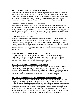#### **SSC PTK Honor Society Inducts New Members**

Thirty-four SSC students were inducted into the Alpha Theta Nu Chapter of Phi Theta Kappa International Honor Society for Two-Year Colleges in early April. Students were selected based on their scholarship, leadership and service qualities. Under the guidance of faculty advisors **Dr. Steve Bolin** and **Jeffrey Christiansen**, the chapter provides programs, activities and opportunities to participate in community service projects.

#### **Seminole Chamber Honors SSC Personnel**

Administrative Assistant to the Vice President for Student Affairs **Melinda Sims** and Health, Physical Education and Recreation Division Chair and women's basketball coach **Rita Story-Schell** were recognized as "Staff Member of the Month" and "Educator of the Month" by the Seminole Chamber of Commerce. The employees were honored for their outstanding dedication and work during the monthly Chamber Forum luncheon.

#### **PSI Beta Inducts Students**

Nineteen Seminole State College students earned the honor in April to be inducted into the PSI Beta Psychology Honor Society. Licensed Professional Counselor and former Oklahoma National Alliance on Mental Illness President **Karrie Utterback** was the special guest speaker for the induction ceremony. Ms. Utterback, who holds 30-years of psychology and mental health service experience, encouraged the students to continue their endeavors in psychology and challenged them to view the world through different perspectives.

## **President and AD Present at AACC Conference**

**Dr. Jim Utterback**, President, and **Dr. Tom Mills**, Athletic Director and Men's Basketball Coach, presented at the American Association of Community Colleges conference in New Orleans. Their presentation was entitled: "The Balanced Pursuit of Academic and Athletic Excellence in Intercollegiate Sports."

#### **Medical Laboratory Technology Open House**

The Medical Laboratory Technology Department hosted an Open House on April 27 in celebration of National Medical Laboratory Week. The event, organized by MLT Director **Perthena Latchaw** and instructor **Malinda Browning**, provided an opportunity to find out what goes on behind the scenes in a laboratory. Aspiring MLT students were also invited to attend and find out what it takes to be a part of this program.

## **SSC Hosts State Economic Development Partnership Program**

Seminole State College was the site for a statewide Economic Development Recognition Program hosted by the Oklahoma State Regents for Higher Education. Chancellor of Higher Education **Glen Johnson** and college and university presidents and administrators from across the state, joined business leaders being honored for their partnership efforts with higher education. The Economic Development Partnership Recognition program honors outstanding partnerships that lead to significant contributions in educating and developing Oklahoma's workforce. Seminole State College and the Citizen Potawatomi Community Development Corporation were among the honorees at the event.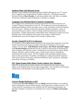## **Students Help with Museum Event**

Members of the volleyball and basketball teams stuffed 8,500 eggs for the  $17<sup>th</sup>$  Annual Jazzy's Egg Run at the Jasmine Moran Children's Museum. According to Museum Executive Director **Marci Donaho**, it took these students only a few hours to complete the task that would have taken the Museum's staff days to complete.

#### **Language Arts Division Hosts Creativity Symposium**

The Language Arts and Humanities Division hosted their First Annual Howlers and Yawpers Creativity Symposium on April 29. The symposium showcased amateur and professional Oklahoma artists, musicians, actors, writers and dancers in the Jeff Johnston Fine Arts Center. Students, faculty and community members presented a variety of musical performances, dances, creative writings, theatrical performances and artistic presentations. Student organizations sold breakfast items, baked goods, Indian tacos and hot dogs in the Cook Commons in the center of the campus. Vendors and art demonstrations were also on display in the Commons' gazebo areas.

## **Faculty Attend PCA/ACA Conference**

Five members of the English faculty presented at the national joint conference of the Pop Culture Association and American Culture Association of Southwest Texas in San Antonio, Texas in April. **Kelli McBride**, **Jessica Isaacs**, **Jim Wilson**, **Rayshell Clapper** and **Christian Morgan** attended the four-day conference that focused on promoting the study of popular and American culture. Presentations covered American culture, human relations, literature, material culture, music, science fiction, fantasy, teaching and professional and creative works. The SSC English faculty presented original creative works in their panel titled, "Invisibility and Oklahoma: Looking Beyond the Forgotten." Their fiction and non-fiction pieces discussed Oklahoma issues, experiences and people particularly focusing on invisibility.

## **SSC Sigma Kappa Delta Honor Society Inducts New Members**

Eight SSC students and one faculty member were inducted into the Upsilon Alpha chapter of the English Honor Society Sigma Kappa Delta. Vice President for Institutional Advancement Lana Reynolds was the guest speaker for the evening.



## **Concert Pianist Performs at SSC**

Concert pianist **Dr. Peter Simon** and his son **Saling** entertained students, area residents and local elementary school children during a week-long series of campus concerts. The "Simon and Son" presentations were hosted by the SSC Educational Foundation, the Seminole Chamber of Commerce, the Seminole Arts Council and **Melvin and Jasmine Moran.**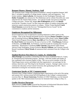## **Banquet Honors Alumni, Students, Staff**

The Seminole State College Educational Foundation's annual recognition banquet, held May 5, included recognition of college alumni, students, staff and supporters. Two former students, **Adam LaRoche**, first baseman for the Washington Nationals, and **Robby Trammell**, news director for *The Oklahoman* and its website NewsOK.com. were inducted into the Alumni Hall of Fame. Two special awards were given to long-time College associates. Former SSC Regent **Ben Walkingstick** and his wife **Bonnie** received the "Founders Award" for their long-time support of student scholarships and numerous capital construction projects on campus. Former Trojan Baseball **Coach Lloyd Simmons** received the first ever "Distinguished Service Award" for his commitment to students and the institution.

## **Employees Recognized for Milestones**

Several employees were recognized for reaching milestones in their careers at the College. Chair of the Nursing and Health Sciences Division **Donna Chambers**, Business and Accounting Professor **Dawna Hamm**, Business Office Head Cashier **Mona Griffin**, Talent Search Program Director **Mary Ann Hill** and Vice President for Student Affairs **Dr. Brad Walck** were honored for 20 years of service to SSC. **Fred Bunyan**, Professor of Business, and **Kelly Kirk**, Art Professor, received awards for reaching their 35-year milestones. Maintenance Coordinator **Kelly Chastain**, Educational Talent Search Advisor Frank Washington, Science Professor **Beverly Williams**, and Veterans Upward Bound Coordinator **Cheryl Woods** all announced their retirement from the College in the Spring.

#### **Student Receives First Harry E. Coates, Sr. Scholarship**

**Alicia Ramage** was awarded a scholarship from the newly-established Harry E. Coates, Sr. Entrepreneurial Scholarship program. Ramage, a full-time student and mother of four, graduated with a business degree in May. She was an active member of the Phi Theta Kappa honor society and helped with that organization's care packages for the military, book drive and "Hot Dog for the Homeless" projects. Ramage's plans were to continue her education at East Central University after graduating from SSC. She is interested in owning her own business one day.

#### **Gonterman Speaks at SSC Commencement**

Seminole State College students completing degree requirements at the end of the spring and summer 2011 sessions joined fall 2010 graduates in the College's commencement exercises May 13. **Bryan Gonterman**, President of AT&T Oklahoma, was the featured speaker at the 78th Commencement Exercises for Seminole State College on May 13.

#### **Goeller Receives Doctorate**

Math instructor **Linda Goeller** received her Doctorate in Professional Education Studies / Mathematics Education from Oklahoma State University in May.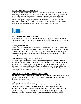## **Board Approves Academic Rank**

At their May meeting, the Seminole State College Board of Regents approved a policy regarding Academic Rank. Based on recommendations made by the accreditation team of the Higher Learning Commission, **President Utterback** recommended creating a professional academic ranking system for the faculty of SSC to align the titles for teaching faculty with comparable positions at universities. The policy allowed the President to award status of "Assistant Professor," "Associate Professor" and "Professor" based on tenure, years of service, academic credentials and other criteria.



## **SSC Offers Kids Camp Program**

Several sessions of "Kids Camp" began on campus in June. The two-week camps ran June 6 through August 11, Monday through Thursday and focused on pottery, swimming, archery and reading.

#### **Koenig Named Dean**

**Pam Koenig** was named Dean of Instructional Compliance. Ms. Koenig has been at SSC for 15 years as a Social Science Instructor and was the former Chair of the Social Science Division. During her time at SSC she has served on Division Chair Council and on the Curriculum Committee. Koenig also chaired the Steering Committee for the Higher Learning Commission Accreditation Self-Study.

## **PTK Students Help One of Their Own**

Phi Theta Kappa International Honor Society members presented **Rachel Callicoat**, fellow PTK member and 2011 SSC graduate, with a check for \$500. SSC teamed with local businesses Homeland in Seminole, Moore's IGA in Wewoka and Firelake in Shawnee to help sponsor a fundraiser for the contribution. Ms. Callicoat and her two children lost their home in the EF-3 tornado that touched down in Tushka April 14 that left many businesses and homes destroyed.

#### **Upward Bound Helps at Regional Food Bank**

SSC's Upward Bound Project took 132 students to the Regional Food Bank in Oklahoma City and helped prepare 17,798 meals. The program participants helped pack boxes of dry goods during their trip.

#### **U.S. Congressman Visits SSC**

Several community leaders, including Seminole City Councilman **D.D. Patterson**, Chamber Executive Director **Amy Britt**, Seminole School Superintendent **Jeff Pritchard**, **Pam Parks** of Blue Wave Boats, Seminole Nation Chief **Leonard Harjo**, Chamber President **Ray McQuiston** and Seminole Nation Assistant Chief **Ella Coleman**, attended a reception for U.S. **Congressman James Lankford** at SSC.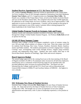## **Student Receives Appointment to U.S. Air Force Academy Class**

SSC student **Courtney Dearth** of Shawnee earned an appointment to the United States Air Force Academy Class of 2015 through competitive nominations from both Oklahoma **Senator Tom Coburn**, and U.S. Congresswoman now **Governor Mary Fallin**. Ms. Dearth was a member of the Trojan Dance Team, served on the Student Activities Board and was on the President's Honor Roll. She competed with more than 10,000 applicants for admission to the United States Air Force Academy, and is one of approximately 1,500 applicants to receive an offer of appointment. Courtney will be joining an elite group of students to participate in one of this country's premier officer training programs for future leadership in the United States Air Force.

#### **Global Studies Program Travels to Germany, Italy and France**

Students, faculty and community members travelled to Germany, Italy and France through the College's Global Studies Summer Program. Art Professor **Kelly Kirk** served as sponsor for the trip.

## **GEAR UP Hosts Summer Camps**

Seminole State College's GEAR UP program completed a series of summer camps for over 100 area high school students on campus in late June. Three day-camps were held for students from Bowlegs, New Lima, Varnum, Strothers, Seminole, Butner, Sasakwa, Justice and Paden students. The students participated in activities ranging from "Campus Cruising" tours, investigating crime scenes through Science, origami using Geometry concepts and engineering using Legos. Students also took weekly field trips to the Devon Boat House, Museum of Osteology, Tiger Safari and several campuses.

#### **Board Approves Budget**

The annual budget approved for the coming fiscal year at the June meeting of the Board of Regents included a \$1,000 or 2% minimum salary increase for all full-time employees; raised hourly rate to a minimum of \$10.50 (living wage) for all classified staff; and provided additional salary increases for professorship titles. The Board was also informed that the College would end the FY11 fiscal year with an Educational and General (E&G) balance of \$966,373 and Auxiliary balance of \$389,941 – the highest in over a decade.

# **III Yezho**

#### **SSC Welcomes New Dean of Student Services**

Seminole State College welcomed **Dr. Mark Ames** as its new Dean of Student Services in July. Dr. Ames had served as the Dean of Student Services at Tulsa Community College since 1995. He brought over 25 years of experience in two-year college administration and supervision, with 15 years of leadership experience, to his position at SSC.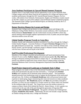#### **Area Students Participate in Upward Bound Summer Program**

Students from 21 area high schools had the opportunity to stay on the Seminole State College campus and learn about financial aid, preparation for college and improve their academic performance through the SSC Upward Bound Summer Program. For fiveweeks, 130 students from Seminole, Pottawatomie, Hughes and Okfuskee counties stayed on the SSC campus as a part of the college's Upward Bound summer residential program. The Seminole State College Upward Bound Projects are federally funded by the U.S. Department of Education.

#### **Butner Receives Honors for Layout and Design**

Seminole State College took top honors in class schedule layout and design at the Oklahoma College Public Relations Association annual conference. SSC Coordinator of Media Relations **Dustie Butner** won the Achievement Award at OCPRA's three-day annual meeting which brought together representatives from 23 public and private higher education entities across the state.

#### **Global Studies Program Travels to Costa Rica**

Students, faculty and community members travelled to Costa Rica through the College's Global Studies Program. Associate Professor of English **Christian Morgan** led the 13 day light backpack excursion trip. Travelers were able to swim in both the Atlantic and Pacific Oceans, zip-line through a rainforest canopy in Manuel Antonio National Park, visit the Iruza volcano and sea kayak in the Pacific.

#### **Staff Provided Professional Development**

Members of the college's classified and professional staff heard presentations from Channel 25 news anchor **Andrew Speno** and motivational speaker **Dr. Mac McCrory** during an afternoon training session held on campus July 21. An additional training session was offered to supervisors from various areas of campus earlier in the day featuring Oklahoma State University Management Department Head **Dr. Kenneth Eastman.**

#### **Pond Project Improved Landscape at Seminole State College**

Major progress was made in July on the Educational Foundation's project to clean out the north pond and beautify the park area that surrounds it. A lead gift from **Darlene Wallace** and Columbus Oil of Seminole jump started the project. The Foundation donated proceeds from fundraising events to support the development of the north pond and park area. Ms. Wallace and **Kenenth Henderson**, both with personal interest and expertise in landscaping, began volunteering their time and resources to help coordinate the park development. **Mr. Henderson** and his wife **Rose** also provided a lead gift to purchase a 12-foot cast iron sculpture of a Trojan warrior on a horse which was mounted on the northeast edge of the park. The Trojan towers near the northern entrance to campus on Marie Austin Drive behind the David L. Boren Library. A 24-ft. gazebo was constructed on the east side of the park through the generosity of long-time SSC supporters **Ben and Bonnie Walkingstick**. The gazebo will honor the Walkingsticks' daughter, **Kimberlie Jean Austin**. Additionally, the area will include a large waterfall, an outdoor sitting and study area, a bridge and fountains.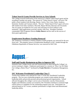## **Talent Search Grants Provide Services to Area Schools**

The College received notification of the renewal of a federal Talent Search grant and the awarding of another new grant. The renewal of "Talent Search Central" will serve 700 public school students from Bowlegs, Butner, Justice, New Lima, Paden, Sasakwa, Seminole, Strother and Varnum schools. The new "Talent Search West" grant will serve 500 students from Dale, Earlsboro, Macomb, Maud, Mcloud, Shawnee and Tecumseh. The two grants are funded for five years and will bring over \$2.6 million to the institution. Both applications received a perfect 100 score. President Utterback commended TRIO Programs Director **Kathy Hoover** and her staff on the success of these grant applications.

#### **Employment Readiness Funding Renewed**

The Temporary Assistance to Needy Families (TANF) program was renewed for the new fiscal year. The program, known as Employment Readiness at SSC, funded through the Oklahoma Department of Human Services, was renewed for \$247,544.

## **August**

#### **Staff and Faculty Brainstorm on How to Improve SSC**

Seminole State College faculty and staff brainstormed on ideas during the College's inservice training in August. Employees participated in a session on "How Can We Make Our College a Better Place?" facilitated by **Frank Merrick** of Foundation Management, Inc.

#### **SSC Welcomes Presidential Leadership Class V**

Twenty-four students were selected for Class V of the SSC Presidential Leadership program. The two-year scholarship program was created to help students develop leadership skills and provide personal and professional growth opportunities. School officials throughout the college's service area of Seminole, Lincoln, Pottawatomie, Hughes and Okfuskee counties are invited by SSC President Utterback to nominate high school seniors as candidates for the scholarship program each year. Participants are selected based on ACT scores, academic performance in high school and demonstrated leadership ability.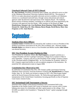## **Utterback Selected Chair of OETA Board**

**Dr. Jim Utterback**, President of Seminole State College, was selected to serve as chair of the Oklahoma Educational Television Authority Board (OETA). The mission of OETA is to make educational and public television services available to all Oklahoma citizens on a coordinated statewide basis, through various educational and cultural agencies under the direction and supervision of the Authority Board. The Authority Board consists of thirteen members, including six ex-officios and seven appointed by the Governor with approval from the Senate. Other members of the Board are **Jean Hendrickson, Suzanne Lair, Lisa Harbison, Brent Houston, Elaine Hobson, Clarke Stroud, Dr. Cindy Ross, Dr. Glen Johnson, Burns Hargis, David Boren, Mary Ann Fergeson** and **Dr. Janet Barresi.** 



#### **Students Elect SGA Officers**

**Lynnette Gomez** of Holdenville was elected by SSC students to serve as President of the Student Government Association for the 2011-2012 academic year. Shawnee student **Danielle Hobia** was chosen to serve as Vice President and Meeker student **Julie Wilson** was elected Secretary.

#### **SSC Vice President Accepts Position in Ohio**

Vice President for Academic Affairs, **Dr. Paul Gasparro**, accepted a position as a Campus President with the Cuyahoga Community College (Tri-C) system in Ohio in early September. Gasparro will serve as the President of the College's Eastern Campus in the Cleveland suburb of Highland Hills. As Vice President for Academic Affairs at SSC, Gasparro supervised faculty as well as academic programs of the institution. He joined the SSC administrative team in August 2008.

#### **Constitution Day Observed at SSC**

In celebration of Constitution Day 2011, SSC hosted a public presentation featuring Oklahoma State University Associate Professor of History **Dr. Ronald Petrin** on campus Friday, Sept. 16. Dr. Petrin was invited to campus by SSC's Phi Theta Kappa chapter and by the Social Sciences Division faculty. Dr. Petrin discussed approaches to the interpretation of the United States Constitution, focusing specifically on that of Supreme Court Justice Antonin Scalia.

#### **SSC Invitational Golf Tournament a Success**

Seminole State College's Educational Foundation Golf Tournament held in late September at the Jimmie Austin Golf Course in Seminole was a success with 21 teams helping raise money for scholarships and other capital projects at the college. Over \$13,000 was added to the Foundation's "Shaping the Future" capital campaign through the event.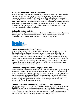## **Students Attend State Leadership Summit**

Several members of the Seminole State College President's Leadership Class attended a state leadership summit sponsored by *Leadership Oklahoma* in Oklahoma City. The summit, part of the organization's  $25<sup>th</sup>$  Anniversary Celebration, featured comments by some of Oklahoma's top elected officials. **Governor Mary Fallin**, Lieutenant Governor **Todd Lamb**, Attorney General **Scott Pruitt** and State Treasurer **Ken Miller** spoke about their personal philosophies on leadership. The author of *Leadership In Action*, retired Rear Admiral **Greg Slavonic** of the U.S. Navy hosted a panel of four military leaders who were contributing writers to his book.

#### **College Hosts Service Fair**

Students and faculty learned about goods and services available in the community during the college's 18th annual "Area Services Fair" held in conjunction with the annual "Back-to-School Ice Cream Social," on the SSC campus in September.

## **October**

## **College Hosts Braided Paths Program**

Seminole State College hosted a unique Native American cultural program created by The American Indian Cultural Center and Museum on the evening of October 13. "Braided Paths: Conversations in Indian Country," a three-part series funded by the Oklahoma Humanities Council, concluded with a final program in Seminole following similar presentations on projects in Weatherford and Miami. The program explored the historic and contemporary contributions of the region's Native communities and shared stories and interviews on topics such as culture, tribal history, partnerships, and what tribes are doing today to perpetuate culture.

#### **Groth and Thompson receive Langley Scholarship**

Two area students were selected to receive a new scholarship established by the family of the late **Bill Langley**. **Sydney Groth** and **Tyler Thompson**, both 2011 Shawnee High School graduates, were honored as the first recipients of the Langley Family Scholarship. The scholarship program was established by **Nancy Langley**, the wife of Bill Langley, and their children **Pattie Smith** and **Mike and Dana Langley**. The Langleys own and operate Langley Management Co. in Shawnee which manages commercial and residential properties and finance companies.

#### **Nursing Program Recommended for Maximum Accreditation**

The National League for Nursing Accrediting Commission (NLNAC), Inc. recommended the SSC Nursing Program for the maximum eight years "Continuing Accreditation following their on-site campus visit. As part of the accreditation process, campus faculty, as well as members of the public were invited to meet the NLNAC accreditation team and the Oklahoma Board of Nursing representative during the visit.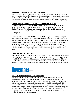## **Seminole Chamber Honors SSC Personnel**

Two Seminole State College employees were honored for their outstanding dedication and work during the monthly Chamber of Commerce Forum on October 13. Maintenance Technician **Dwayne Castle** and Assistant Professor of Psychology **Mona Ridley** were recognized as "Staff Member of the Month" and "Educator of the Month," respectively.

#### **Global Studies Program Travels to Ireland and England**

Under the direction of Art Professor Kelly Kirk, students, faculty and community members travelled to Ireland and England in the Fall through the College's Global Studies Program. The eight-day trip, took place Oct. 13 through 21, and directed travelers through Dublin, North Whales and London with a stop at the birthplace of Shakespeare.

#### **Downey Named to Board at Community College Leadership Congress**

Administrative Assistant to the President **Mechell Downey** was selected to serve on the Professional Board Staff Network at the  $42<sup>nd</sup>$  Annual Association of Community College Trustees (ACCT) Leadership Congress held in Dallas in October. Ms. Downey was nominated by the ACCT Board of Directors to represent the Western Region as a member-at-large on the Network's Board. The organization serves as a national level resource for those who support governing boards at community colleges across the nation.

## **College Receives Clean Audit**

The College received an unqualified (clean) opinion with no findings following the FY11 external audit performed by representatives of Hinkle & Company, PLLC. **Jim Hinkle**, with Hinkle & Company, and Board Audit Committee members Regent Marci Donaho and **David Wilson** commended Vice President for Fiscal Affairs **Katherine Benton** and her staff for their work in managing these areas and for the positive outcome of the audit.

## **November**

## **SSC Offers Seminar for Area Educators**

Area high school officials had the opportunity to hear presentations on college admissions standards, updates on college programs and services, and legal issues in public education at a workshop sponsored by Seminole State College. **Mike Turpen**, a private practice attorney and political commentator on the Oklahoma City television program "Flashpoint," addressed attendees at an opening breakfast for the event on November 1. Turpen served as a past Chairman of the Oklahoma Democratic Party and as the Attorney General of Oklahoma from 1983 to 1987. He was appointed by **Governor Brad Henry** in 2009 to serve as member of the Oklahoma State Regents for Higher Education for a nine-year term.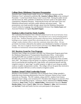## **College Hosts Oklahoma Literature Presentation**

Seminole State College hosted a public lecture on "Oklahoma Literature and the Oklahoma Voice" presented by publisher **Dr. Jeanetta Calhoun Mish** on the evening of November 1 in the Enoch Kelly Haney Center Lecture Hall. During the public lecture and discussion Dr. Mish, publisher of *Oklahoma Literature* spoke to the public about contemporary Oklahoma literature. Following the lecture she read some of her own Oklahoma-infused poetry and held a public question and answer panel. The presentations were made possible through a grant from the Oklahoma Humanities Council written by Language Arts and Humanities Division Chair **Jessica Isaacs** and Associate Professor of English **Rayshell Clapper**.

#### **Students Collect Food for Needy Families**

The Leadership Development Class collected canned food for the local Salvation Army during the Thanksgiving holiday season. The food drive was a service-learning project for the class. Students prepared and decorated collection boxes, distributed the boxes in buildings across campus, posted fliers advertising the drive, and worked with the college's media relations office to alert the community about their effort. All nonperishable food items collected by the students were distributed to families in Seminole County. The class is taught by Social Sciences Division Chair **Marta Osby** and Vice President for Institutional Advancement **Lana Reynolds**.

## **SSC Receives Grant for Tree Program**

Seminole State College was awarded a \$25,000 Tree Enhancement Program grant from the Oklahoma Department of Transportation Beautification Office. Grant monies totaling \$435,000 were available to award to communities ranging from \$1,875 to \$25,000 with a local 25% match requirement. Only 275 tree grants have been awarded since 1997. The purpose of the tree grant is to improve communities through the use of trees by purchasing and installing trees, large shrubs, tall ornamental grasses and drip irrigation systems or "gater bags" on public property or right-of-ways along any public roadway or public transportation corridor. The college will use the grant they received to purchase and plant 100 trees as well as install an irrigation system.

## **Students Attend Tribal Leadership Forum**

Members of the President's Leadership Class at Seminole State College attended a leadership forum featuring administrators from the Chickasaw Nation at East Central University on Thursday. The SSC students, along with PLC students from Eastern Oklahoma State College, were invited by ECU President John Hargrave to join ECU PLC students for the leadership program. Chickasaw Nation Administrators **Patrick Neeley**, Commerce; **Jenny Trett**, Treasury; **Jalinda Kelley**, Administrative Services; **Deanna Hartley-Kelso**, Justice; **Lisa E. John**, Education; **Thomas L. John**, Self-Governance; and **Jay Keel**, Youth and Family Services were participants in the program.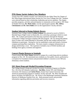## **PTK Honor Society Inducts New Members**

Twenty-four SSC students recently were inducted into the Alpha Theta Nu Chapter of Phi Theta Kappa International Honor Society for Two-Year Colleges this Fall. Students were selected based on their scholarship, leadership and service qualities. The chapter provides programs, activities and participation in community service projects. SSC Dean of Student Services, **Dr. Mark Ames**, was the special guest speaker. **Mr. Jeffrey Christiansen** and **Dr. Steve Bolin** serve as the organization's faculty advisers.

#### **Student Selected to Design Robotic Rovers**

Seminole State College student **Corbin Graham** was selected to travel to NASA's Marshall Space Flight Center in Huntsville, AL to develop a prototype vehicle to roam Mars. Mr. Graham participated in the three-day experience through the National Community College Aerospace Scholars (NCAS) program. He was among 48 students from 25 states who visited Marshall in November and the only student selected from Oklahoma to participate. During his visit he established a team and formed a fictitious company pursuing Mars exploration. The team created a company infrastructure to design and develop a rover. The experience included a tour of NASA facilities and briefings from agency scientists and engineers.

#### **Concert Pianist Returns to Seminole**

Concert pianist **Dr. Peter Simon** returned to campus for a week-long artist-in-residence program on Nov. 28. He entertained area residents at a free public concert, performed at a reception for Foundation donors and presented children's concerts to over 500 area elementary school students.

#### **SSC Hosts Drug and Alcohol Prevention Program**

The College hosted a Drug and Alcohol Prevention Awareness Program on Monday, Nov. 28 in the Jeff Johnston Auditorium. **Jim Riley**, former NFL and Oklahoma University All-American and **Calvin Prince**, former East Central University All-American presented the program to students, faculty and staff. Mr. Riley founded and directs Jim Riley OUT*REACH,* Inc. Mr. Prince is the Marketing/Community Relations Director of Oklahoma Families First, Inc. Both presented stories and provided information regarding addiction prevention and recovery resources.